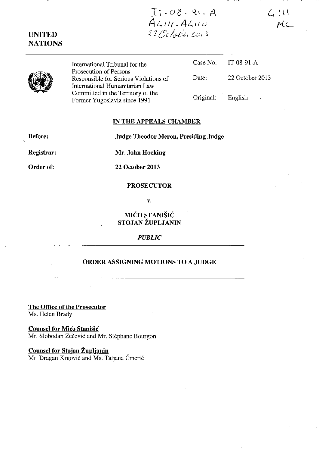# $T_1 - 08 - 96 - A$ <br>ALIU-ALIIO<br>22 Octobricois

 $411$  $MC$ 



**UNITED NATIONS** 

> International Tribunal for the Prosecution of Persons Responsible for Serious Violations of International Humanitarian Law Committed in the Territory of the Former Yugoslavia since 1991

|           | Case No $IT-08-91-A$ |
|-----------|----------------------|
| Date:     | 22 October 2013      |
| Original: | English              |

# IN THE APPEALS CHAMBER

**Before:** 

**Judge Theodor Meron, Presiding Judge** 

**Registrar:** 

Mr. John Hocking

Order of:

22 October 2013

#### **PROSECUTOR**

 $\mathbf{v}$ .

# MIĆO STANIŠIĆ STOJAN ŽUPLJANIN

### **PUBLIC**

# ORDER ASSIGNING MOTIONS TO A JUDGE

The Office of the Prosecutor Ms. Helen Brady

**Counsel for Mićo Stanišić** Mr. Slobodan Zečević and Mr. Stéphane Bourgon

Counsel for Stojan Župljanin

Mr. Dragan Krgović and Ms. Tatjana Čmerić